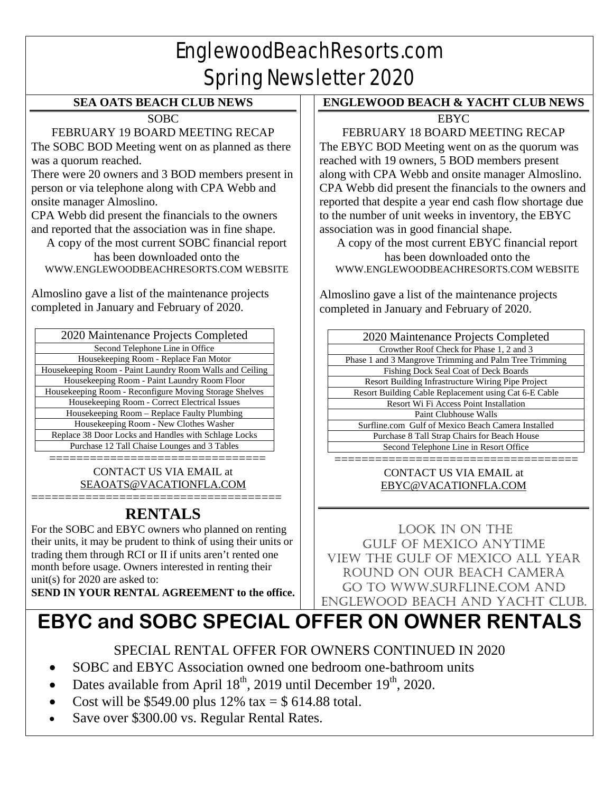# EnglewoodBeachResorts.com Spring Newsletter 2020

#### **SEA OATS BEACH CLUB NEWS**

**SOBC** 

FEBRUARY 19 BOARD MEETING RECAP

The SOBC BOD Meeting went on as planned as there was a quorum reached.

There were 20 owners and 3 BOD members present in person or via telephone along with CPA Webb and onsite manager Almoslino.

CPA Webb did present the financials to the owners and reported that the association was in fine shape.

A copy of the most current SOBC financial report has been downloaded onto the [WWW.ENGLEWOODBEACHRESORTS.COM](http://www.englewoodbeachresorts.com/) WEBSITE

Almoslino gave a list of the maintenance projects completed in January and February of 2020.

| 2020 Maintenance Projects Completed                      |
|----------------------------------------------------------|
| Second Telephone Line in Office                          |
| Housekeeping Room - Replace Fan Motor                    |
| Housekeeping Room - Paint Laundry Room Walls and Ceiling |
| Housekeeping Room - Paint Laundry Room Floor             |
| Housekeeping Room - Reconfigure Moving Storage Shelves   |
| Housekeeping Room - Correct Electrical Issues            |
| Housekeeping Room - Replace Faulty Plumbing              |
| Housekeeping Room - New Clothes Washer                   |
| Replace 38 Door Locks and Handles with Schlage Locks     |
| Purchase 12 Tall Chaise Lounges and 3 Tables             |

====================================== CONTACT US VIA EMAIL at [SEAOATS@VACATIONFLA.COM](mailto:SEAOATS@VACATIONFLA.COM)

#### ===================================== **RENTALS**

For the SOBC and EBYC owners who planned on renting their units, it may be prudent to think of using their units or trading them through RCI or II if units aren't rented one month before usage. Owners interested in renting their unit(s) for 2020 are asked to:

**SEND IN YOUR RENTAL AGREEMENT to the office.**

### **ENGLEWOOD BEACH & YACHT CLUB NEWS**

**EBYC** 

FEBRUARY 18 BOARD MEETING RECAP The EBYC BOD Meeting went on as the quorum was reached with 19 owners, 5 BOD members present along with CPA Webb and onsite manager Almoslino. CPA Webb did present the financials to the owners and reported that despite a year end cash flow shortage due to the number of unit weeks in inventory, the EBYC association was in good financial shape.

A copy of the most current EBYC financial report has been downloaded onto the [WWW.ENGLEWOODBEACHRESORTS.COM](http://www.englewoodbeachresorts.com/) WEBSITE

Almoslino gave a list of the maintenance projects completed in January and February of 2020.

| 2020 Maintenance Projects Completed                       |
|-----------------------------------------------------------|
| Crowther Roof Check for Phase 1, 2 and 3                  |
| Phase 1 and 3 Mangrove Trimming and Palm Tree Trimming    |
| Fishing Dock Seal Coat of Deck Boards                     |
| <b>Resort Building Infrastructure Wiring Pipe Project</b> |
| Resort Building Cable Replacement using Cat 6-E Cable     |
| Resort Wi Fi Access Point Installation                    |
| Paint Clubhouse Walls                                     |
| Surfline.com Gulf of Mexico Beach Camera Installed        |
| Purchase 8 Tall Strap Chairs for Beach House              |
| Second Telephone Line in Resort Office                    |
|                                                           |

#### ==================================== CONTACT US VIA EMAIL at [EBYC@VACATIONFLA.COM](mailto:EBYC@VACATIONFLA.COM)

LOOK IN ON THE GULF OF MEXICO ANYTIME View the Gulf of Mexico all year round on our beach camera Go to www.surfline.com and Englewood beach and Yacht club.

# **EBYC and SOBC SPECIAL OFFER ON OWNER RENTALS**

SPECIAL RENTAL OFFER FOR OWNERS CONTINUED IN 2020

- SOBC and EBYC Association owned one bedroom one-bathroom units
- Dates available from April  $18<sup>th</sup>$ , 2019 until December  $19<sup>th</sup>$ , 2020.
- Cost will be \$549.00 plus  $12\%$  tax = \$ 614.88 total.
- Save over \$300.00 vs. Regular Rental Rates.